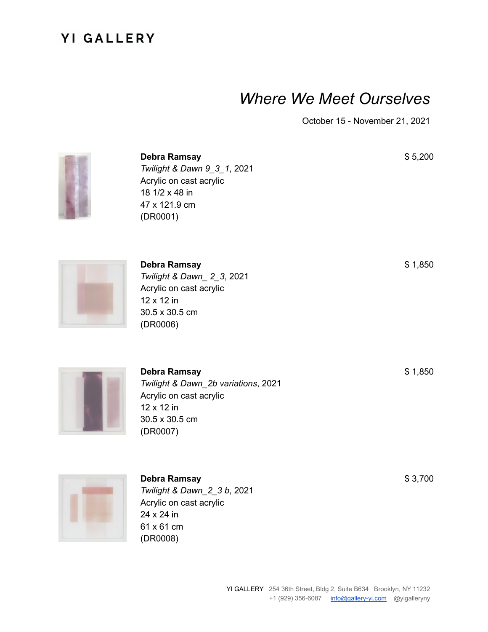# *Where We Meet Ourselves*

October 15 - November 21, 2021



**Debra Ramsay** *Twilight & Dawn 9\_3\_1*, 2021 Acrylic on cast acrylic 18 1/2 x 48 in 47 x 121.9 cm (DR0001)

**Debra Ramsay** *Twilight & Dawn\_ 2\_3*, 2021 Acrylic on cast acrylic 12 x 12 in 30.5 x 30.5 cm (DR0006)



**Debra Ramsay** *Twilight & Dawn\_2b variations*, 2021 Acrylic on cast acrylic 12 x 12 in 30.5 x 30.5 cm (DR0007)



**Debra Ramsay** *Twilight & Dawn\_2\_3 b*, 2021 Acrylic on cast acrylic 24 x 24 in 61 x 61 cm (DR0008)

\$ 5,200

\$ 1,850

\$ 1,850

\$ 3,700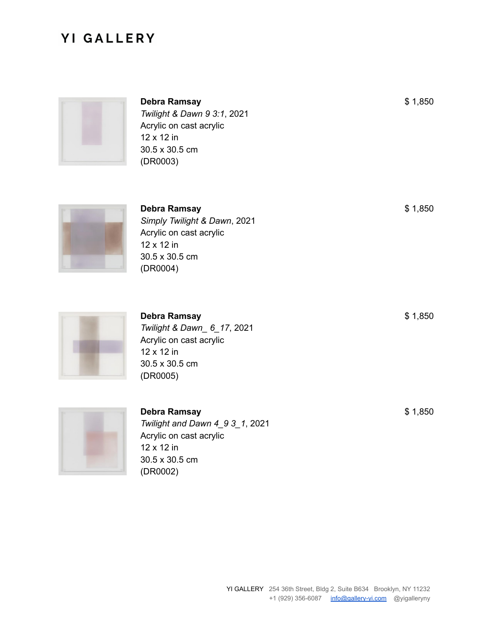

**Debra Ramsay** *Twilight & Dawn 9 3:1*, 2021 Acrylic on cast acrylic 12 x 12 in 30.5 x 30.5 cm (DR0003)



**Debra Ramsay** *Simply Twilight & Dawn*, 2021 Acrylic on cast acrylic 12 x 12 in 30.5 x 30.5 cm (DR0004)



**Debra Ramsay** *Twilight & Dawn\_ 6\_17*, 2021 Acrylic on cast acrylic 12 x 12 in 30.5 x 30.5 cm (DR0005)



**Debra Ramsay** *Twilight and Dawn 4\_9 3\_1*, 2021 Acrylic on cast acrylic 12 x 12 in 30.5 x 30.5 cm (DR0002)

\$ 1,850

\$ 1,850

\$ 1,850

\$ 1,850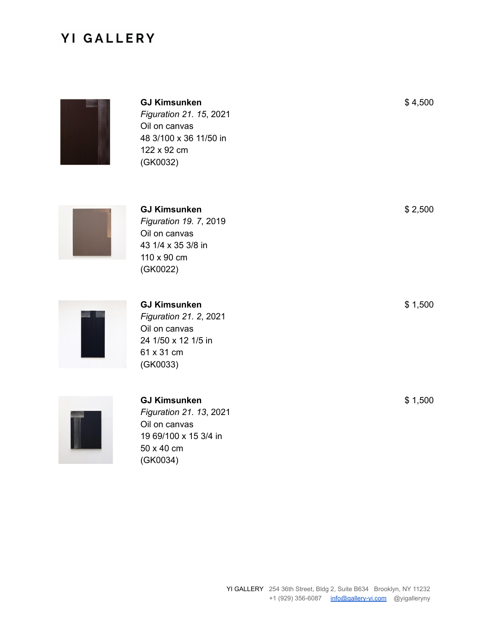

**GJ Kimsunken** *Figuration 21. 15*, 2021 Oil on canvas 48 3/100 x 36 11/50 in 122 x 92 cm (GK0032)



**GJ Kimsunken** *Figuration 19. 7*, 2019 Oil on canvas 43 1/4 x 35 3/8 in 110 x 90 cm (GK0022)



**GJ Kimsunken** *Figuration 21. 2*, 2021 Oil on canvas 24 1/50 x 12 1/5 in 61 x 31 cm (GK0033)



#### **GJ Kimsunken** *Figuration 21. 13*, 2021 Oil on canvas 19 69/100 x 15 3/4 in 50 x 40 cm (GK0034)

\$ 4,500

\$ 2,500

\$ 1,500

\$ 1,500